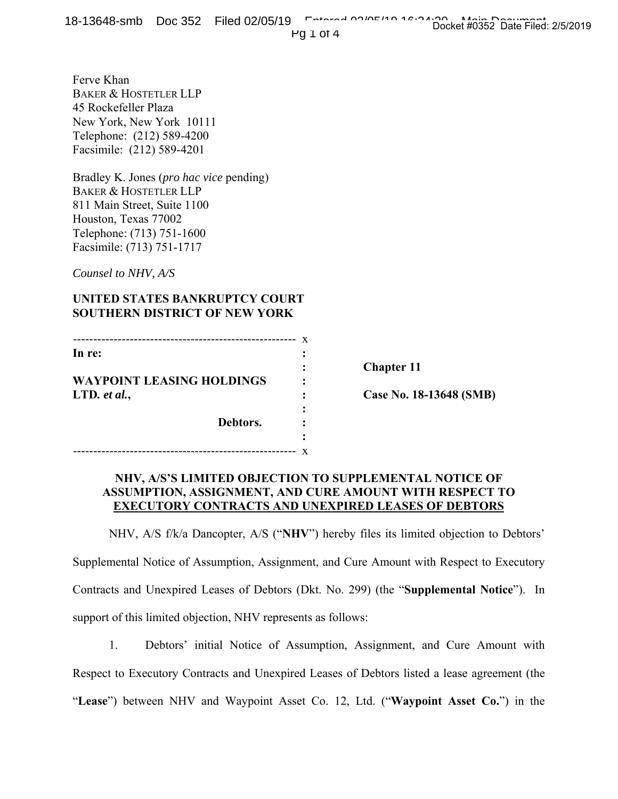Pg 1 of 4

Ferve Khan BAKER & HOSTETLER LLP 45 Rockefeller Plaza New York, New York 10111 Telephone: (212) 589-4200 Facsimile: (212) 589-4201

Bradley K. Jones (*pro hac vice* pending) BAKER & HOSTETLER LLP 811 Main Street, Suite 1100 Houston, Texas 77002 Telephone: (713) 751-1600 Facsimile: (713) 751-1717

*Counsel to NHV, A/S* 

## **UNITED STATES BANKRUPTCY COURT SOUTHERN DISTRICT OF NEW YORK**

| In re:                           |  |
|----------------------------------|--|
|                                  |  |
| <b>WAYPOINT LEASING HOLDINGS</b> |  |
| LTD. et al.,                     |  |
|                                  |  |
| Debtors.                         |  |
|                                  |  |
|                                  |  |

**Chapter 11** 

**Case No. 18-13648 (SMB)** 

## **NHV, A/S'S LIMITED OBJECTION TO SUPPLEMENTAL NOTICE OF ASSUMPTION, ASSIGNMENT, AND CURE AMOUNT WITH RESPECT TO EXECUTORY CONTRACTS AND UNEXPIRED LEASES OF DEBTORS**

NHV, A/S f/k/a Dancopter, A/S ("**NHV**") hereby files its limited objection to Debtors'

Supplemental Notice of Assumption, Assignment, and Cure Amount with Respect to Executory Contracts and Unexpired Leases of Debtors (Dkt. No. 299) (the "**Supplemental Notice**"). In support of this limited objection, NHV represents as follows:

1. Debtors' initial Notice of Assumption, Assignment, and Cure Amount with Respect to Executory Contracts and Unexpired Leases of Debtors listed a lease agreement (the "**Lease**") between NHV and Waypoint Asset Co. 12, Ltd. ("**Waypoint Asset Co.**") in the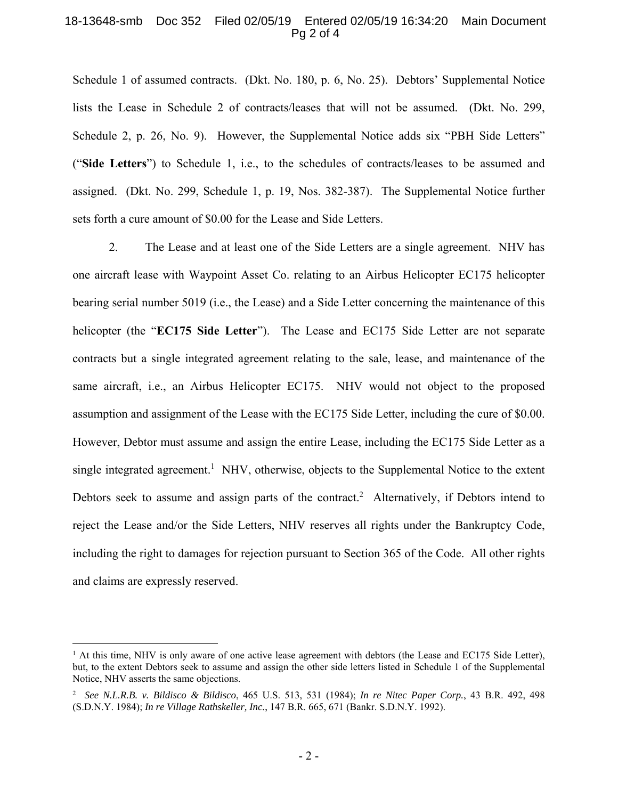## 18-13648-smb Doc 352 Filed 02/05/19 Entered 02/05/19 16:34:20 Main Document Pg 2 of 4

Schedule 1 of assumed contracts. (Dkt. No. 180, p. 6, No. 25). Debtors' Supplemental Notice lists the Lease in Schedule 2 of contracts/leases that will not be assumed. (Dkt. No. 299, Schedule 2, p. 26, No. 9). However, the Supplemental Notice adds six "PBH Side Letters" ("**Side Letters**") to Schedule 1, i.e., to the schedules of contracts/leases to be assumed and assigned. (Dkt. No. 299, Schedule 1, p. 19, Nos. 382-387). The Supplemental Notice further sets forth a cure amount of \$0.00 for the Lease and Side Letters.

2. The Lease and at least one of the Side Letters are a single agreement. NHV has one aircraft lease with Waypoint Asset Co. relating to an Airbus Helicopter EC175 helicopter bearing serial number 5019 (i.e., the Lease) and a Side Letter concerning the maintenance of this helicopter (the "**EC175 Side Letter**"). The Lease and EC175 Side Letter are not separate contracts but a single integrated agreement relating to the sale, lease, and maintenance of the same aircraft, i.e., an Airbus Helicopter EC175. NHV would not object to the proposed assumption and assignment of the Lease with the EC175 Side Letter, including the cure of \$0.00. However, Debtor must assume and assign the entire Lease, including the EC175 Side Letter as a single integrated agreement.<sup>1</sup> NHV, otherwise, objects to the Supplemental Notice to the extent Debtors seek to assume and assign parts of the contract.<sup>2</sup> Alternatively, if Debtors intend to reject the Lease and/or the Side Letters, NHV reserves all rights under the Bankruptcy Code, including the right to damages for rejection pursuant to Section 365 of the Code. All other rights and claims are expressly reserved.

 $\overline{a}$ 

 $<sup>1</sup>$  At this time, NHV is only aware of one active lease agreement with debtors (the Lease and EC175 Side Letter),</sup> but, to the extent Debtors seek to assume and assign the other side letters listed in Schedule 1 of the Supplemental Notice, NHV asserts the same objections.

<sup>2</sup> *See N.L.R.B. v. Bildisco & Bildisco*, 465 U.S. 513, 531 (1984); *In re Nitec Paper Corp.*, 43 B.R. 492, 498 (S.D.N.Y. 1984); *In re Village Rathskeller, Inc.*, 147 B.R. 665, 671 (Bankr. S.D.N.Y. 1992).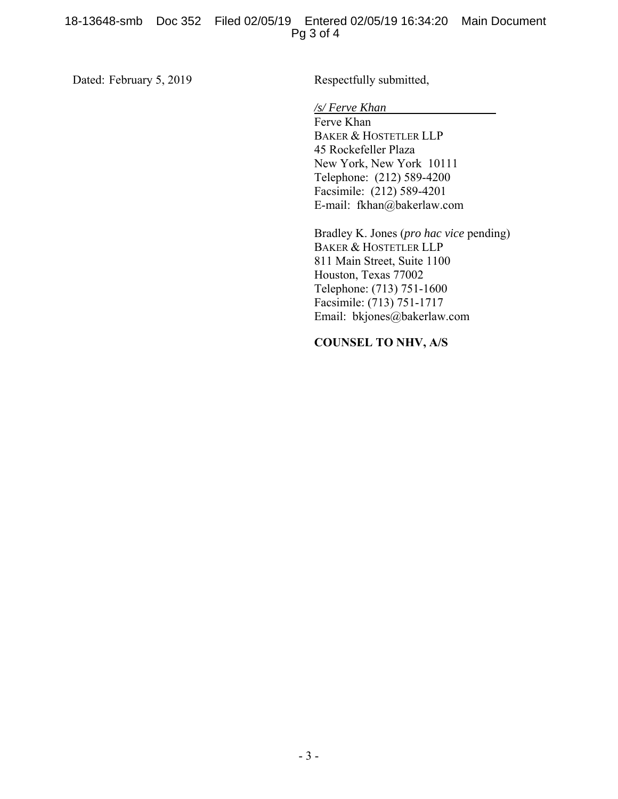Dated: February 5, 2019

Respectfully submitted,

*/s/ Ferve Khan*

Ferve Khan BAKER & HOSTETLER LLP 45 Rockefeller Plaza New York, New York 10111 Telephone: (212) 589-4200 Facsimile: (212) 589-4201 E-mail: fkhan@bakerlaw.com

Bradley K. Jones (*pro hac vice* pending) BAKER & HOSTETLER LLP 811 Main Street, Suite 1100 Houston, Texas 77002 Telephone: (713) 751-1600 Facsimile: (713) 751-1717 Email: bkjones@bakerlaw.com

**COUNSEL TO NHV, A/S**